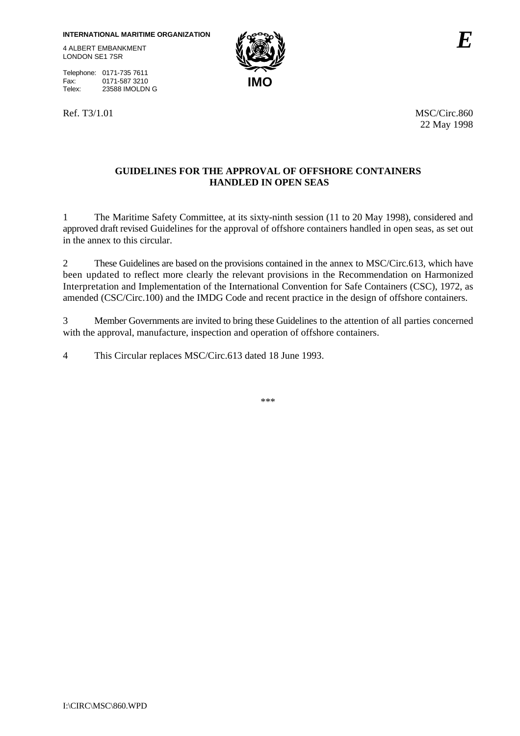LONDON SE1 7SR

Telephone: 0171-735 7611<br>Fax: 0171-587 3210 Fax: 0171-587 3210<br>Telex: 23588 IMOLDN 23588 IMOLDN G



Ref. T3/1.01 MSC/Circ.860 22 May 1998

## **GUIDELINES FOR THE APPROVAL OF OFFSHORE CONTAINERS HANDLED IN OPEN SEAS**

1 The Maritime Safety Committee, at its sixty-ninth session (11 to 20 May 1998), considered and approved draft revised Guidelines for the approval of offshore containers handled in open seas, as set out in the annex to this circular.

2 These Guidelines are based on the provisions contained in the annex to MSC/Circ.613, which have been updated to reflect more clearly the relevant provisions in the Recommendation on Harmonized Interpretation and Implementation of the International Convention for Safe Containers (CSC), 1972, as amended (CSC/Circ.100) and the IMDG Code and recent practice in the design of offshore containers.

3 Member Governments are invited to bring these Guidelines to the attention of all parties concerned with the approval, manufacture, inspection and operation of offshore containers.

4 This Circular replaces MSC/Circ.613 dated 18 June 1993.

\*\*\*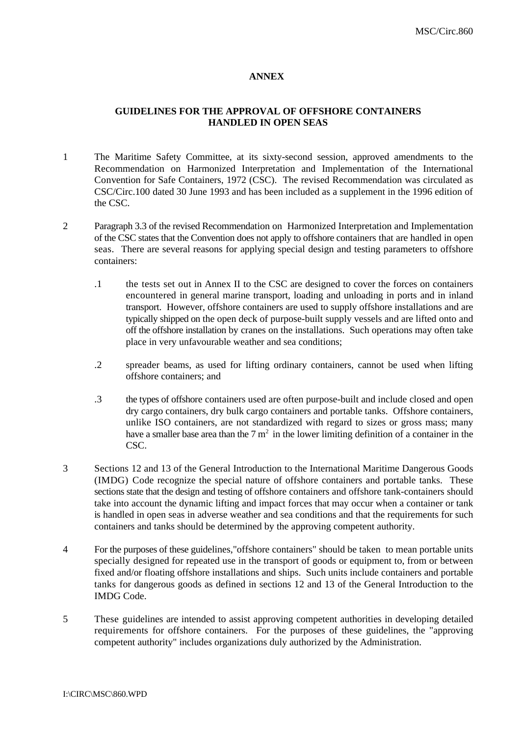#### **ANNEX**

### **GUIDELINES FOR THE APPROVAL OF OFFSHORE CONTAINERS HANDLED IN OPEN SEAS**

- 1 The Maritime Safety Committee, at its sixty-second session, approved amendments to the Recommendation on Harmonized Interpretation and Implementation of the International Convention for Safe Containers, 1972 (CSC). The revised Recommendation was circulated as CSC/Circ.100 dated 30 June 1993 and has been included as a supplement in the 1996 edition of the CSC.
- 2 Paragraph 3.3 of the revised Recommendation on Harmonized Interpretation and Implementation of the CSC states that the Convention does not apply to offshore containers that are handled in open seas. There are several reasons for applying special design and testing parameters to offshore containers:
	- .1 the tests set out in Annex II to the CSC are designed to cover the forces on containers encountered in general marine transport, loading and unloading in ports and in inland transport. However, offshore containers are used to supply offshore installations and are typically shipped on the open deck of purpose-built supply vessels and are lifted onto and off the offshore installation by cranes on the installations. Such operations may often take place in very unfavourable weather and sea conditions;
	- .2 spreader beams, as used for lifting ordinary containers, cannot be used when lifting offshore containers; and
	- .3 the types of offshore containers used are often purpose-built and include closed and open dry cargo containers, dry bulk cargo containers and portable tanks. Offshore containers, unlike ISO containers, are not standardized with regard to sizes or gross mass; many have a smaller base area than the  $7 \text{ m}^2$  in the lower limiting definition of a container in the CSC.
- 3 Sections 12 and 13 of the General Introduction to the International Maritime Dangerous Goods (IMDG) Code recognize the special nature of offshore containers and portable tanks. These sections state that the design and testing of offshore containers and offshore tank-containers should take into account the dynamic lifting and impact forces that may occur when a container or tank is handled in open seas in adverse weather and sea conditions and that the requirements for such containers and tanks should be determined by the approving competent authority.
- 4 For the purposes of these guidelines,"offshore containers" should be taken to mean portable units specially designed for repeated use in the transport of goods or equipment to, from or between fixed and/or floating offshore installations and ships. Such units include containers and portable tanks for dangerous goods as defined in sections 12 and 13 of the General Introduction to the IMDG Code.
- 5 These guidelines are intended to assist approving competent authorities in developing detailed requirements for offshore containers. For the purposes of these guidelines, the "approving competent authority" includes organizations duly authorized by the Administration.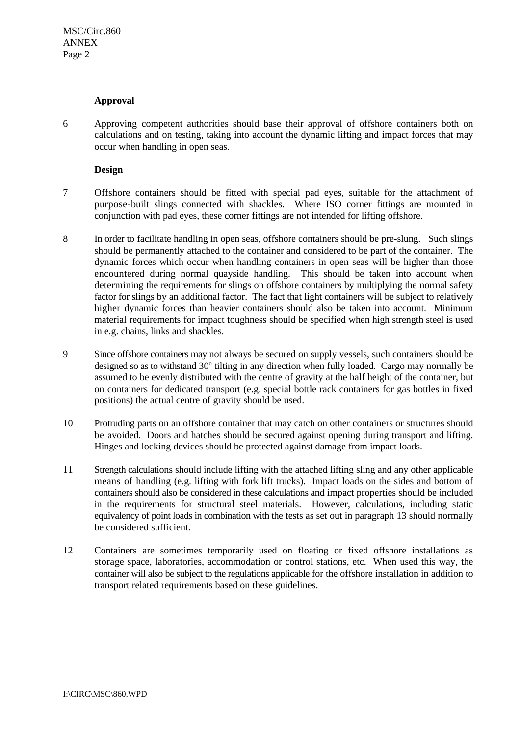#### **Approval**

6 Approving competent authorities should base their approval of offshore containers both on calculations and on testing, taking into account the dynamic lifting and impact forces that may occur when handling in open seas.

### **Design**

- 7 Offshore containers should be fitted with special pad eyes, suitable for the attachment of purpose-built slings connected with shackles. Where ISO corner fittings are mounted in conjunction with pad eyes, these corner fittings are not intended for lifting offshore.
- 8 In order to facilitate handling in open seas, offshore containers should be pre-slung. Such slings should be permanently attached to the container and considered to be part of the container. The dynamic forces which occur when handling containers in open seas will be higher than those encountered during normal quayside handling. This should be taken into account when determining the requirements for slings on offshore containers by multiplying the normal safety factor for slings by an additional factor. The fact that light containers will be subject to relatively higher dynamic forces than heavier containers should also be taken into account. Minimum material requirements for impact toughness should be specified when high strength steel is used in e.g. chains, links and shackles.
- 9 Since offshore containers may not always be secured on supply vessels, such containers should be designed so as to withstand  $30^{\circ}$  tilting in any direction when fully loaded. Cargo may normally be assumed to be evenly distributed with the centre of gravity at the half height of the container, but on containers for dedicated transport (e.g. special bottle rack containers for gas bottles in fixed positions) the actual centre of gravity should be used.
- 10 Protruding parts on an offshore container that may catch on other containers or structures should be avoided. Doors and hatches should be secured against opening during transport and lifting. Hinges and locking devices should be protected against damage from impact loads.
- 11 Strength calculations should include lifting with the attached lifting sling and any other applicable means of handling (e.g. lifting with fork lift trucks). Impact loads on the sides and bottom of containers should also be considered in these calculations and impact properties should be included in the requirements for structural steel materials. However, calculations, including static equivalency of point loads in combination with the tests as set out in paragraph 13 should normally be considered sufficient.
- 12 Containers are sometimes temporarily used on floating or fixed offshore installations as storage space, laboratories, accommodation or control stations, etc. When used this way, the container will also be subject to the regulations applicable for the offshore installation in addition to transport related requirements based on these guidelines.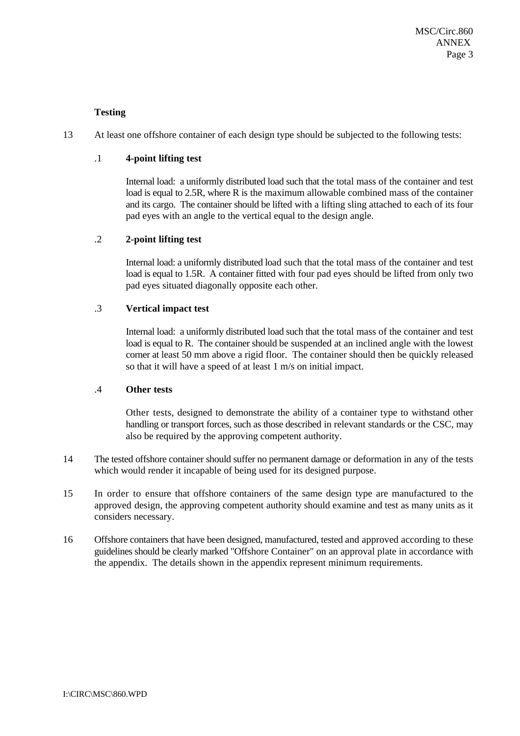## **Testing**

13 At least one offshore container of each design type should be subjected to the following tests:

## .1 **4-point lifting test**

Internal load: a uniformly distributed load such that the total mass of the container and test load is equal to 2.5R, where R is the maximum allowable combined mass of the container and its cargo. The container should be lifted with a lifting sling attached to each of its four pad eyes with an angle to the vertical equal to the design angle.

## .2 **2-point lifting test**

Internal load: a uniformly distributed load such that the total mass of the container and test load is equal to 1.5R. A container fitted with four pad eyes should be lifted from only two pad eyes situated diagonally opposite each other.

## .3 **Vertical impact test**

Internal load: a uniformly distributed load such that the total mass of the container and test load is equal to R. The container should be suspended at an inclined angle with the lowest corner at least 50 mm above a rigid floor. The container should then be quickly released so that it will have a speed of at least 1 m/s on initial impact.

### .4 **Other tests**

Other tests, designed to demonstrate the ability of a container type to withstand other handling or transport forces, such as those described in relevant standards or the CSC, may also be required by the approving competent authority.

- 14 The tested offshore container should suffer no permanent damage or deformation in any of the tests which would render it incapable of being used for its designed purpose.
- 15 In order to ensure that offshore containers of the same design type are manufactured to the approved design, the approving competent authority should examine and test as many units as it considers necessary.
- 16 Offshore containers that have been designed, manufactured, tested and approved according to these guidelines should be clearly marked "Offshore Container" on an approval plate in accordance with the appendix. The details shown in the appendix represent minimum requirements.